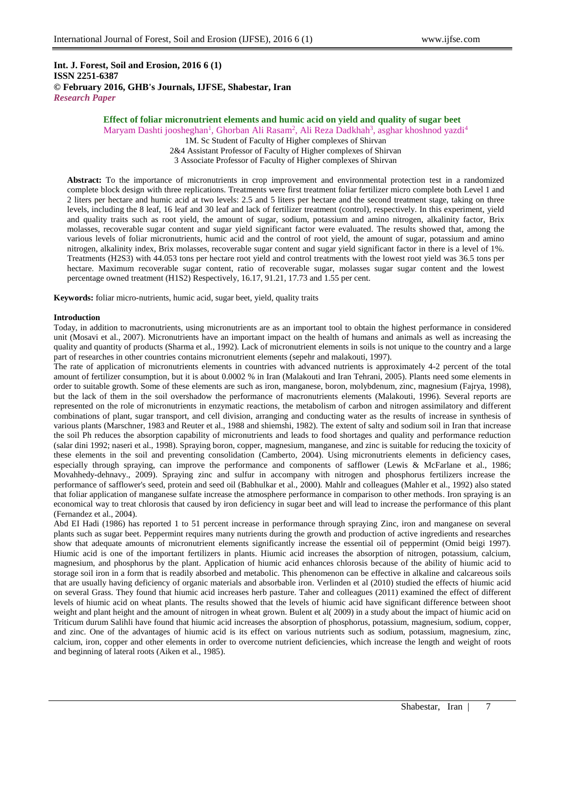**Int. J. Forest, Soil and Erosion, 2016 6 (1) ISSN 2251-6387 © February 2016, GHB's Journals, IJFSE, Shabestar, Iran** *Research Paper*

# **Effect of foliar micronutrient elements and humic acid on yield and quality of sugar beet**

Maryam Dashti joosheghan<sup>1</sup>, Ghorban Ali Rasam<sup>2</sup>, Ali Reza Dadkhah<sup>3</sup>, asghar khoshnod yazdi<sup>4</sup>

1M. Sc Student of Faculty of Higher complexes of Shirvan

2&4 Assistant Professor of Faculty of Higher complexes of Shirvan

3 Associate Professor of Faculty of Higher complexes of Shirvan

**Abstract:** To the importance of micronutrients in crop improvement and environmental protection test in a randomized complete block design with three replications. Treatments were first treatment foliar fertilizer micro complete both Level 1 and 2 liters per hectare and humic acid at two levels: 2.5 and 5 liters per hectare and the second treatment stage, taking on three levels, including the 8 leaf, 16 leaf and 30 leaf and lack of fertilizer treatment (control), respectively. In this experiment, yield and quality traits such as root yield, the amount of sugar, sodium, potassium and amino nitrogen, alkalinity factor, Brix molasses, recoverable sugar content and sugar yield significant factor were evaluated. The results showed that, among the various levels of foliar micronutrients, humic acid and the control of root yield, the amount of sugar, potassium and amino nitrogen, alkalinity index, Brix molasses, recoverable sugar content and sugar yield significant factor in there is a level of 1%. Treatments (H2S3) with 44.053 tons per hectare root yield and control treatments with the lowest root yield was 36.5 tons per hectare. Maximum recoverable sugar content, ratio of recoverable sugar, molasses sugar sugar content and the lowest percentage owned treatment (H1S2) Respectively, 16.17, 91.21, 17.73 and 1.55 per cent.

**Keywords:** foliar micro-nutrients, humic acid, sugar beet, yield, quality traits

#### **Introduction**

Today, in addition to macronutrients, using micronutrients are as an important tool to obtain the highest performance in considered unit (Mosavi et al., 2007). Micronutrients have an important impact on the health of humans and animals as well as increasing the quality and quantity of products (Sharma et al., 1992). Lack of micronutrient elements in soils is not unique to the country and a large part of researches in other countries contains micronutrient elements (sepehr and malakouti, 1997).

The rate of application of micronutrients elements in countries with advanced nutrients is approximately 4-2 percent of the total amount of fertilizer consumption, but it is about 0.0002 % in Iran (Malakouti and Iran Tehrani, 2005). Plants need some elements in order to suitable growth. Some of these elements are such as iron, manganese, boron, molybdenum, zinc, magnesium (Fajrya, 1998), but the lack of them in the soil overshadow the performance of macronutrients elements (Malakouti, 1996). Several reports are represented on the role of micronutrients in enzymatic reactions, the metabolism of carbon and nitrogen assimilatory and different combinations of plant, sugar transport, and cell division, arranging and conducting water as the results of increase in synthesis of various plants (Marschner, 1983 and Reuter et al., 1988 and shiemshi, 1982). The extent of salty and sodium soil in Iran that increase the soil Ph reduces the absorption capability of micronutrients and leads to food shortages and quality and performance reduction (salar dini 1992; naseri et al., 1998). Spraying boron, copper, magnesium, manganese, and zinc is suitable for reducing the toxicity of these elements in the soil and preventing consolidation (Camberto, 2004). Using micronutrients elements in deficiency cases, especially through spraying, can improve the performance and components of safflower (Lewis & McFarlane et al., 1986; Movahhedy-dehnavy., 2009). Spraying zinc and sulfur in accompany with nitrogen and phosphorus fertilizers increase the performance of safflower's seed, protein and seed oil (Babhulkar et al., 2000). Mahlr and colleagues (Mahler et al., 1992) also stated that foliar application of manganese sulfate increase the atmosphere performance in comparison to other methods. Iron spraying is an economical way to treat chlorosis that caused by iron deficiency in sugar beet and will lead to increase the performance of this plant (Fernandez et al., 2004).

Abd EI Hadi (1986) has reported 1 to 51 percent increase in performance through spraying Zinc, iron and manganese on several plants such as sugar beet. Peppermint requires many nutrients during the growth and production of active ingredients and researches show that adequate amounts of micronutrient elements significantly increase the essential oil of peppermint (Omid beigi 1997). Hiumic acid is one of the important fertilizers in plants. Hiumic acid increases the absorption of nitrogen, potassium, calcium, magnesium, and phosphorus by the plant. Application of hiumic acid enhances chlorosis because of the ability of hiumic acid to storage soil iron in a form that is readily absorbed and metabolic. This phenomenon can be effective in alkaline and calcareous soils that are usually having deficiency of organic materials and absorbable iron. Verlinden et al (2010) studied the effects of hiumic acid on several Grass. They found that hiumic acid increases herb pasture. Taher and colleagues (2011) examined the effect of different levels of hiumic acid on wheat plants. The results showed that the levels of hiumic acid have significant difference between shoot weight and plant height and the amount of nitrogen in wheat grown. Bulent et al( 2009) in a study about the impact of hiumic acid on Triticum durum Salihli have found that hiumic acid increases the absorption of phosphorus, potassium, magnesium, sodium, copper, and zinc. One of the advantages of hiumic acid is its effect on various nutrients such as sodium, potassium, magnesium, zinc, calcium, iron, copper and other elements in order to overcome nutrient deficiencies, which increase the length and weight of roots and beginning of lateral roots (Aiken et al., 1985).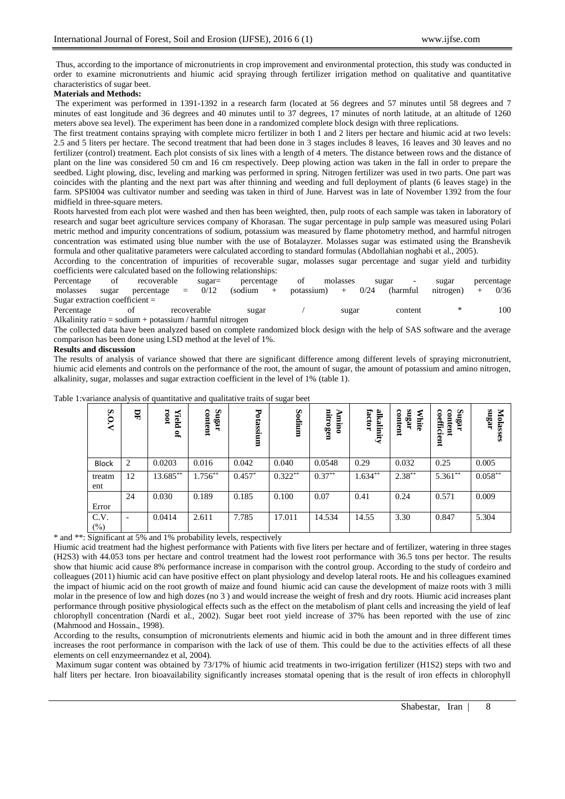Thus, according to the importance of micronutrients in crop improvement and environmental protection, this study was conducted in order to examine micronutrients and hiumic acid spraying through fertilizer irrigation method on qualitative and quantitative characteristics of sugar beet.

### **Materials and Methods:**

The experiment was performed in 1391-1392 in a research farm (located at 56 degrees and 57 minutes until 58 degrees and 7 minutes of east longitude and 36 degrees and 40 minutes until to 37 degrees, 17 minutes of north latitude, at an altitude of 1260 meters above sea level). The experiment has been done in a randomized complete block design with three replications.

The first treatment contains spraying with complete micro fertilizer in both 1 and 2 liters per hectare and hiumic acid at two levels: 2.5 and 5 liters per hectare. The second treatment that had been done in 3 stages includes 8 leaves, 16 leaves and 30 leaves and no fertilizer (control) treatment. Each plot consists of six lines with a length of 4 meters. The distance between rows and the distance of plant on the line was considered 50 cm and 16 cm respectively. Deep plowing action was taken in the fall in order to prepare the seedbed. Light plowing, disc, leveling and marking was performed in spring. Nitrogen fertilizer was used in two parts. One part was coincides with the planting and the next part was after thinning and weeding and full deployment of plants (6 leaves stage) in the farm. SPSI004 was cultivator number and seeding was taken in third of June. Harvest was in late of November 1392 from the four midfield in three-square meters.

Roots harvested from each plot were washed and then has been weighted, then, pulp roots of each sample was taken in laboratory of research and sugar beet agriculture services company of Khorasan. The sugar percentage in pulp sample was measured using Polari metric method and impurity concentrations of sodium, potassium was measured by flame photometry method, and harmful nitrogen concentration was estimated using blue number with the use of Botalayzer. Molasses sugar was estimated using the Branshevik formula and other qualitative parameters were calculated according to standard formulas (Abdollahian noghabi et al., 2005).

According to the concentration of impurities of recoverable sugar, molasses sugar percentage and sugar yield and turbidity coefficients were calculated based on the following relationships:

| Percentage                       | 0f | recoverable         | sugar=      | percentage | οt                  | molasses | sugar    | sugar     |         | percentage |
|----------------------------------|----|---------------------|-------------|------------|---------------------|----------|----------|-----------|---------|------------|
| molasses sugar                   |    | $percentage = 0/12$ |             | (sodium +  | potassium) + $0/24$ |          | (harmful | nitrogen) | $+$ $+$ | 0/36       |
| Sugar extraction coefficient $=$ |    |                     |             |            |                     |          |          |           |         |            |
| Percentage                       |    | Οİ                  | recoverable | sugar      |                     | sugar    | content  |           |         | 100        |

Alkalinity ratio = sodium + potassium / harmful nitrogen

The collected data have been analyzed based on complete randomized block design with the help of SAS software and the average comparison has been done using LSD method at the level of 1%.

## **Results and discussion**

The results of analysis of variance showed that there are significant difference among different levels of spraying micronutrient, hiumic acid elements and controls on the performance of the root, the amount of sugar, the amount of potassium and amino nitrogen, alkalinity, sugar, molasses and sugar extraction coefficient in the level of 1% (table 1).

| <u>ي</u><br>$\overline{N}$ | 모  | 100I<br>Yield<br>್ಲಿ | Sugar<br>content | Potassium | Sodium    | nitrogen<br>⋗<br>uin | alkalinity<br>factor | angar<br>content<br>≋<br>hite | Sugar<br>coefficient<br>content | sugar<br>Molasses |
|----------------------------|----|----------------------|------------------|-----------|-----------|----------------------|----------------------|-------------------------------|---------------------------------|-------------------|
| <b>Block</b>               | 2  | 0.0203               | 0.016            | 0.042     | 0.040     | 0.0548               | 0.29                 | 0.032                         | 0.25                            | 0.005             |
| treatm<br>ent              | 12 | 13.685**             | $1.756***$       | $0.457*$  | $0.322**$ | $0.37***$            | $1.634***$           | $2.38***$                     | $5.361**$                       | $0.058***$        |
| Error                      | 24 | 0.030                | 0.189            | 0.185     | 0.100     | 0.07                 | 0.41                 | 0.24                          | 0.571                           | 0.009             |
| C.V.<br>$(\%)$             | ٠  | 0.0414               | 2.611            | 7.785     | 17.011    | 14.534               | 14.55                | 3.30                          | 0.847                           | 5.304             |

Table 1:variance analysis of quantitative and qualitative traits of sugar beet

\* and \*\*: Significant at 5% and 1% probability levels, respectively

Hiumic acid treatment had the highest performance with Patients with five liters per hectare and of fertilizer, watering in three stages (H2S3) with 44.053 tons per hectare and control treatment had the lowest root performance with 36.5 tons per hector. The results show that hiumic acid cause 8% performance increase in comparison with the control group. According to the study of cordeiro and colleagues (2011) hiumic acid can have positive effect on plant physiology and develop lateral roots. He and his colleagues examined the impact of hiumic acid on the root growth of maize and found hiumic acid can cause the development of maize roots with 3 milli molar in the presence of low and high dozes (no 3 ) and would increase the weight of fresh and dry roots. Hiumic acid increases plant performance through positive physiological effects such as the effect on the metabolism of plant cells and increasing the yield of leaf chlorophyll concentration (Nardi et al., 2002). Sugar beet root yield increase of 37% has been reported with the use of zinc (Mahmood and Hossain., 1998).

According to the results, consumption of micronutrients elements and hiumic acid in both the amount and in three different times increases the root performance in comparison with the lack of use of them. This could be due to the activities effects of all these elements on cell enzymeernandez et al, 2004).

Maximum sugar content was obtained by 73/17% of hiumic acid treatments in two-irrigation fertilizer (H1S2) steps with two and half liters per hectare. Iron bioavailability significantly increases stomatal opening that is the result of iron effects in chlorophyll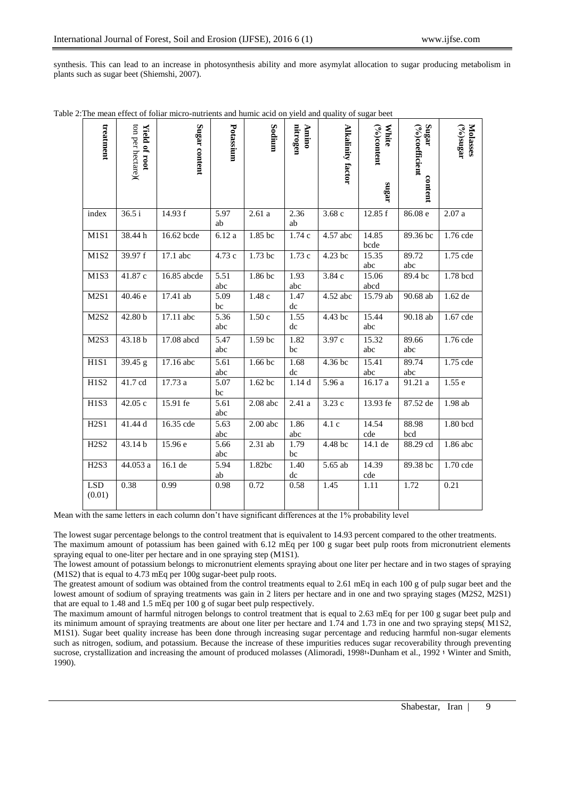synthesis. This can lead to an increase in photosynthesis ability and more asymylat allocation to sugar producing metabolism in plants such as sugar beet (Shiemshi, 2007).

| treatment                     | ton per hectare)<br>Yield of root | Sugar content | Potassium   | Sodium     | nitrogen<br>Annino | <b>Alkalinity factor</b> | <b>White</b><br>$(°\delta)$ content<br>angar | Sugar<br>$(\%)$ coefficient<br>content | Molasses<br>$\text{argms}(\text{o}_0)$ |
|-------------------------------|-----------------------------------|---------------|-------------|------------|--------------------|--------------------------|----------------------------------------------|----------------------------------------|----------------------------------------|
| index                         | 36.5 i                            | 14.93 f       | 5.97<br>ab  | 2.61a      | 2.36<br>ab         | 3.68c                    | 12.85 f                                      | 86.08 e                                | 2.07a                                  |
| M1S1                          | 38.44 h                           | 16.62 bcde    | 6.12 a      | 1.85 bc    | 1.74 c             | 4.57 abc                 | 14.85<br>bcde                                | 89.36 bc                               | 1.76 cde                               |
| M <sub>1</sub> S <sub>2</sub> | 39.97 f                           | 17.1 abc      | 4.73 c      | 1.73 bc    | 1.73c              | 4.23 bc                  | 15.35<br>abc                                 | 89.72<br>abc                           | 1.75 cde                               |
| M1S3                          | 41.87 c                           | 16.85 abcde   | 5.51<br>abc | 1.86 bc    | 1.93<br>abc        | 3.84c                    | 15.06<br>abcd                                | 89.4 bc                                | 1.78 bcd                               |
| M2S1                          | 40.46 e                           | 17.41 ab      | 5.09<br>bc  | 1.48c      | 1.47<br>dc         | 4.52 abc                 | 15.79 ab                                     | 90.68 ab                               | 1.62 de                                |
| M2S2                          | 42.80 <sub>b</sub>                | 17.11 abc     | 5.36<br>abc | 1.50c      | 1.55<br>dc         | 4.43 bc                  | 15.44<br>abc                                 | 90.18 ab                               | 1.67 cde                               |
| M <sub>2</sub> S <sub>3</sub> | 43.18 b                           | 17.08 abcd    | 5.47<br>abc | 1.59 bc    | 1.82<br>bc         | 3.97 c                   | 15.32<br>abc                                 | 89.66<br>abc                           | 1.76 cde                               |
| H1S1                          | 39.45 g                           | 17.16 abc     | 5.61<br>abc | $1.66$ bc  | 1.68<br>dc         | 4.36 bc                  | 15.41<br>abc                                 | 89.74<br>abc                           | 1.75 cde                               |
| H1S2                          | 41.7 cd                           | 17.73 a       | 5.07<br>bc  | $1.62$ bc  | 1.14d              | 5.96 a                   | 16.17 a                                      | 91.21 a                                | 1.55e                                  |
| H <sub>1</sub> S <sub>3</sub> | 42.05c                            | 15.91 fe      | 5.61<br>abc | $2.08$ abc | 2.41 a             | 3.23 c                   | 13.93 fe                                     | 87.52 de                               | 1.98 ab                                |
| H2S1                          | 41.44d                            | 16.35 cde     | 5.63<br>abc | $2.00$ abc | 1.86<br>abc        | 4.1c                     | 14.54<br>cde                                 | 88.98<br>bcd                           | 1.80 bcd                               |
| H <sub>2</sub> S <sub>2</sub> | 43.14 b                           | 15.96 e       | 5.66<br>abc | 2.31 ab    | 1.79<br>bc         | 4.48 bc                  | 14.1 de                                      | 88.29 cd                               | 1.86 abc                               |
| H <sub>2</sub> S <sub>3</sub> | 44.053 a                          | 16.1 de       | 5.94<br>ab  | 1.82bc     | 1.40<br>dc         | 5.65 ab                  | 14.39<br>cde                                 | 89.38 bc                               | 1.70 cde                               |
| <b>LSD</b><br>(0.01)          | 0.38                              | 0.99          | 0.98        | 0.72       | 0.58               | 1.45                     | 1.11                                         | 1.72                                   | 0.21                                   |

Table 2:The mean effect of foliar micro-nutrients and humic acid on yield and quality of sugar beet

Mean with the same letters in each column don't have significant differences at the 1% probability level

The lowest sugar percentage belongs to the control treatment that is equivalent to 14.93 percent compared to the other treatments.

The maximum amount of potassium has been gained with 6.12 mEq per 100 g sugar beet pulp roots from micronutrient elements spraying equal to one-liter per hectare and in one spraying step (M1S1).

The lowest amount of potassium belongs to micronutrient elements spraying about one liter per hectare and in two stages of spraying (M1S2) that is equal to 4.73 mEq per 100g sugar-beet pulp roots.

The greatest amount of sodium was obtained from the control treatments equal to 2.61 mEq in each 100 g of pulp sugar beet and the lowest amount of sodium of spraying treatments was gain in 2 liters per hectare and in one and two spraying stages (M2S2, M2S1) that are equal to 1.48 and 1.5 mEq per 100 g of sugar beet pulp respectively.

The maximum amount of harmful nitrogen belongs to control treatment that is equal to 2.63 mEq for per 100 g sugar beet pulp and its minimum amount of spraying treatments are about one liter per hectare and 1.74 and 1.73 in one and two spraying steps( M1S2, M1S1). Sugar beet quality increase has been done through increasing sugar percentage and reducing harmful non-sugar elements such as nitrogen, sodium, and potassium. Because the increase of these impurities reduces sugar recoverability through preventing sucrose, crystallization and increasing the amount of produced molasses (Alimoradi, 1998; Dunham et al., 1992 ; Winter and Smith, 1990).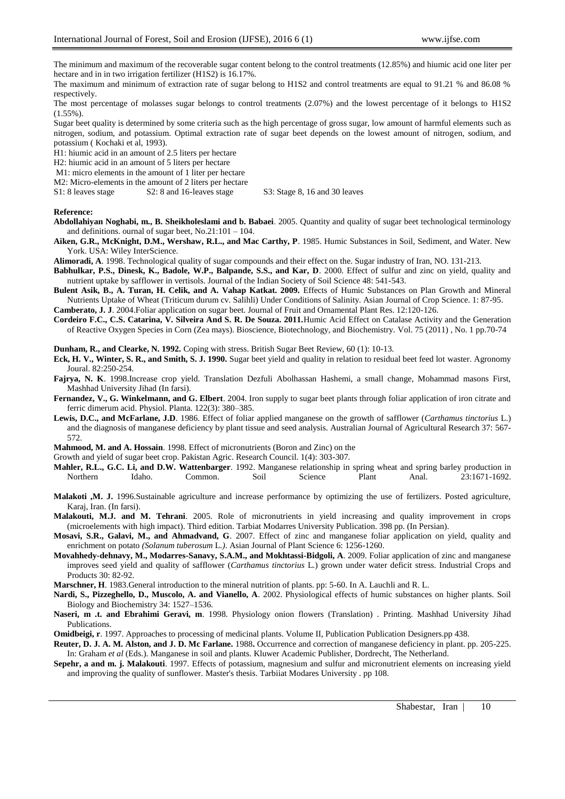The minimum and maximum of the recoverable sugar content belong to the control treatments (12.85%) and hiumic acid one liter per hectare and in in two irrigation fertilizer (H1S2) is 16.17%.

The maximum and minimum of extraction rate of sugar belong to H1S2 and control treatments are equal to 91.21 % and 86.08 % respectively.

The most percentage of molasses sugar belongs to control treatments (2.07%) and the lowest percentage of it belongs to H1S2  $(1.55\%)$ .

Sugar beet quality is determined by some criteria such as the high percentage of gross sugar, low amount of harmful elements such as nitrogen, sodium, and potassium. Optimal extraction rate of sugar beet depends on the lowest amount of nitrogen, sodium, and potassium ( Kochaki et al, 1993).

H1: hiumic acid in an amount of 2.5 liters per hectare

H2: hiumic acid in an amount of 5 liters per hectare

M1: micro elements in the amount of 1 liter per hectare

M2: Micro-elements in the amount of 2 liters per hectare<br>S1: 8 leaves stage S2: 8 and 16-leaves stage

S2: 8 and 16-leaves stage S3: Stage 8, 16 and 30 leaves

#### **Reference:**

- **Abdollahiyan Noghabi, m., B. Sheikholeslami and b. Babaei**. 2005. Quantity and quality of sugar beet technological terminology and definitions. ournal of sugar beet, No.21:101 – 104.
- **Aiken, G.R., McKnight, D.M., Wershaw, R.L., and Mac Carthy, P**. 1985. Humic Substances in Soil, Sediment, and Water. New York. USA: Wiley InterScience.
- **Alimoradi, A**. 1998. Technological quality of sugar compounds and their effect on the. Sugar industry of Iran, NO. 131-213.
- **Babhulkar, P.S., Dinesk, K., Badole, W.P., Balpande, S.S., and Kar, D**. 2000. Effect of sulfur and zinc on yield, quality and nutrient uptake by safflower in vertisols. Journal of the Indian Society of Soil Science 48: 541-543.

**Bulent Asik, B., A. Turan, H. Celik, and A. Vahap Katkat. 2009.** Effects of Humic Substances on Plan Growth and Mineral Nutrients Uptake of Wheat (Triticum durum cv. Salihli) Under Conditions of Salinity. Asian Journal of Crop Science. 1: 87-95.

**Camberato, J. J**. 2004.Foliar application on sugar beet. Journal of Fruit and Ornamental Plant Res. 12:120-126.

**Cordeiro F.C., C.S. Catarina, V. Silveira And S. R. De Souza. 2011.**Humic Acid Effect on Catalase Activity and the Generation of Reactive Oxygen Species in Corn (Zea mays). Bioscience, Biotechnology, and Biochemistry. Vol. 75 (2011) , No. 1 pp.70-74

**Dunham, R., and Clearke, N. 1992.** Coping with stress. British Sugar Beet Review, 60 (1): 10-13.

- **Eck, H. V., Winter, S. R., and Smith, S. J. 1990.** Sugar beet yield and quality in relation to residual beet feed lot waster. Agronomy Joural. 82:250-254.
- **Fajrya, N. K**. 1998.Increase crop yield. Translation Dezfuli Abolhassan Hashemi, a small change, Mohammad masons First, Mashhad University Jihad (In farsi).
- **Fernandez, V., G. Winkelmann, and G. Elbert**. 2004. Iron supply to sugar beet plants through foliar application of iron citrate and ferric dimerum acid. Physiol. Planta. 122(3): 380–385.
- **Lewis, D.C., and McFarlane, J.D**. 1986. Effect of foliar applied manganese on the growth of safflower (*Carthamus tinctorius* L.) and the diagnosis of manganese deficiency by plant tissue and seed analysis. Australian Journal of Agricultural Research 37: 567- 572.

**Mahmood, M. and A. Hossain**. 1998. Effect of micronutrients (Boron and Zinc) on the

Growth and yield of sugar beet crop. Pakistan Agric. Research Council. 1(4): 303-307.

**Mahler, R.L., G.C. Li, and D.W. Wattenbarger**. 1992. Manganese relationship in spring wheat and spring barley production in Northern Idaho. Common. Soil Science Plant Anal. 23:1671-1692.

**Malakoti ,M. J.** 1996.Sustainable agriculture and increase performance by optimizing the use of fertilizers. Posted agriculture, Karaj, Iran. (In farsi).

- **Malakouti, M.J. and M. Tehrani**. 2005. Role of micronutrients in yield increasing and quality improvement in crops (microelements with high impact). Third edition. Tarbiat Modarres University Publication. 398 pp. (In Persian).
- **Mosavi, S.R., Galavi, M., and Ahmadvand, G**. 2007. Effect of zinc and manganese foliar application on yield, quality and enrichment on potato *(Solanum tuberosum* L*.)*. Asian Journal of Plant Science 6: 1256-1260.
- **Movahhedy-dehnavy, M., Modarres-Sanavy, S.A.M., and Mokhtassi-Bidgoli, A**. 2009. Foliar application of zinc and manganese improves seed yield and quality of safflower (*Carthamus tinctorius* L*.*) grown under water deficit stress. Industrial Crops and Products 30: 82-92.

**Marschner, H**. 1983.General introduction to the mineral nutrition of plants. pp: 5-60. In A. Lauchli and R. L.

- **Nardi, S., Pizzeghello, D., Muscolo, A. and Vianello, A**. 2002. Physiological effects of humic substances on higher plants. Soil Biology and Biochemistry 34: 1527–1536.
- **Naseri, m .t. and Ebrahimi Geravi, m**. 1998. Physiology onion flowers (Translation) . Printing. Mashhad University Jihad Publications.

**Omidbeigi, r**. 1997. Approaches to processing of medicinal plants. Volume II, Publication Publication Designers.pp 438.

- **Reuter, D. J. A. M. Alston, and J. D. Mc Farlane.** 1988**.** Occurrence and correction of manganese deficiency in plant. pp. 205-225. In: Graham *et al* (Eds.). Manganese in soil and plants. Kluwer Academic Publisher, Dordrecht, The Netherland.
- **Sepehr, a and m. j. Malakouti**. 1997. Effects of potassium, magnesium and sulfur and micronutrient elements on increasing yield and improving the quality of sunflower. Master's thesis. Tarbiiat Modares University . pp 108.